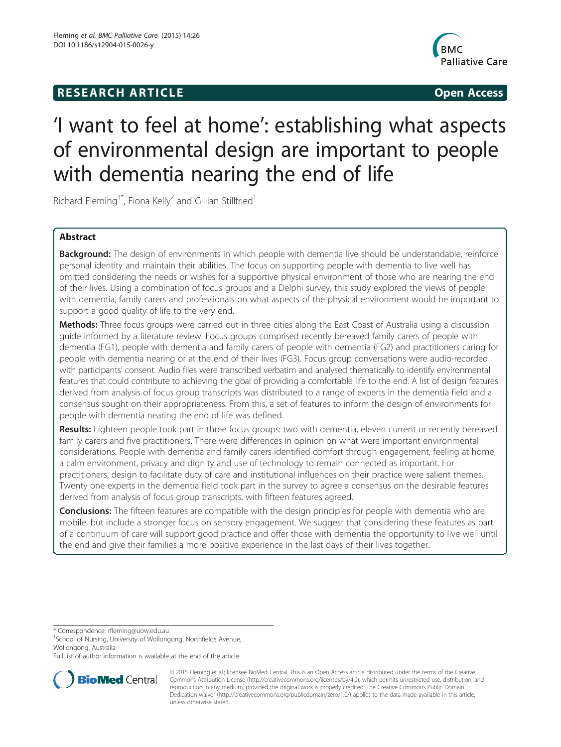## **RESEARCH ARTICLE Example 2014 Open Access**



# 'I want to feel at home': establishing what aspects of environmental design are important to people with dementia nearing the end of life

Richard Fleming<sup>1\*</sup>, Fiona Kelly<sup>2</sup> and Gillian Stillfried<sup>1</sup>

### Abstract

Background: The design of environments in which people with dementia live should be understandable, reinforce personal identity and maintain their abilities. The focus on supporting people with dementia to live well has omitted considering the needs or wishes for a supportive physical environment of those who are nearing the end of their lives. Using a combination of focus groups and a Delphi survey, this study explored the views of people with dementia, family carers and professionals on what aspects of the physical environment would be important to support a good quality of life to the very end.

Methods: Three focus groups were carried out in three cities along the East Coast of Australia using a discussion guide informed by a literature review. Focus groups comprised recently bereaved family carers of people with dementia (FG1), people with dementia and family carers of people with dementia (FG2) and practitioners caring for people with dementia nearing or at the end of their lives (FG3). Focus group conversations were audio-recorded with participants' consent. Audio files were transcribed verbatim and analysed thematically to identify environmental features that could contribute to achieving the goal of providing a comfortable life to the end. A list of design features derived from analysis of focus group transcripts was distributed to a range of experts in the dementia field and a consensus sought on their appropriateness. From this, a set of features to inform the design of environments for people with dementia nearing the end of life was defined.

Results: Eighteen people took part in three focus groups: two with dementia, eleven current or recently bereaved family carers and five practitioners. There were differences in opinion on what were important environmental considerations. People with dementia and family carers identified comfort through engagement, feeling at home, a calm environment, privacy and dignity and use of technology to remain connected as important. For practitioners, design to facilitate duty of care and institutional influences on their practice were salient themes. Twenty one experts in the dementia field took part in the survey to agree a consensus on the desirable features derived from analysis of focus group transcripts, with fifteen features agreed.

**Conclusions:** The fifteen features are compatible with the design principles for people with dementia who are mobile, but include a stronger focus on sensory engagement. We suggest that considering these features as part of a continuum of care will support good practice and offer those with dementia the opportunity to live well until the end and give their families a more positive experience in the last days of their lives together.

\* Correspondence: [rfleming@uow.edu.au](mailto:rfleming@uow.edu.au) <sup>1</sup>

<sup>1</sup>School of Nursing, University of Wollongong, Northfields Avenue, Wollongong, Australia

Full list of author information is available at the end of the article



<sup>© 2015</sup> Fleming et al.; licensee BioMed Central. This is an Open Access article distributed under the terms of the Creative Commons Attribution License [\(http://creativecommons.org/licenses/by/4.0\)](http://creativecommons.org/licenses/by/4.0), which permits unrestricted use, distribution, and reproduction in any medium, provided the original work is properly credited. The Creative Commons Public Domain Dedication waiver [\(http://creativecommons.org/publicdomain/zero/1.0/](http://creativecommons.org/publicdomain/zero/1.0/)) applies to the data made available in this article, unless otherwise stated.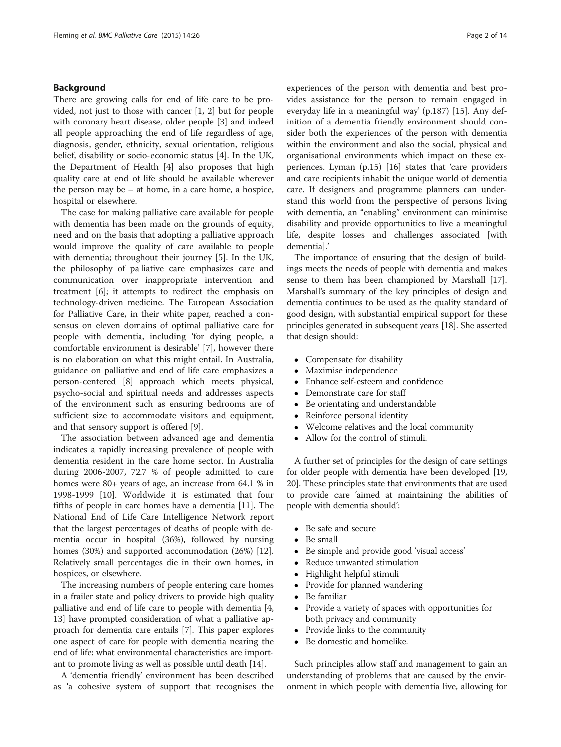### Background

There are growing calls for end of life care to be provided, not just to those with cancer [\[1, 2](#page-12-0)] but for people with coronary heart disease, older people [[3](#page-12-0)] and indeed all people approaching the end of life regardless of age, diagnosis, gender, ethnicity, sexual orientation, religious belief, disability or socio-economic status [[4\]](#page-12-0). In the UK, the Department of Health [[4\]](#page-12-0) also proposes that high quality care at end of life should be available wherever the person may be – at home, in a care home, a hospice, hospital or elsewhere.

The case for making palliative care available for people with dementia has been made on the grounds of equity, need and on the basis that adopting a palliative approach would improve the quality of care available to people with dementia; throughout their journey [[5\]](#page-12-0). In the UK, the philosophy of palliative care emphasizes care and communication over inappropriate intervention and treatment [[6\]](#page-12-0); it attempts to redirect the emphasis on technology-driven medicine. The European Association for Palliative Care, in their white paper, reached a consensus on eleven domains of optimal palliative care for people with dementia, including 'for dying people, a comfortable environment is desirable' [\[7](#page-12-0)], however there is no elaboration on what this might entail. In Australia, guidance on palliative and end of life care emphasizes a person-centered [\[8](#page-12-0)] approach which meets physical, psycho-social and spiritual needs and addresses aspects of the environment such as ensuring bedrooms are of sufficient size to accommodate visitors and equipment, and that sensory support is offered [[9\]](#page-12-0).

The association between advanced age and dementia indicates a rapidly increasing prevalence of people with dementia resident in the care home sector. In Australia during 2006-2007, 72.7 % of people admitted to care homes were 80+ years of age, an increase from 64.1 % in 1998-1999 [[10\]](#page-12-0). Worldwide it is estimated that four fifths of people in care homes have a dementia [\[11\]](#page-12-0). The National End of Life Care Intelligence Network report that the largest percentages of deaths of people with dementia occur in hospital (36%), followed by nursing homes (30%) and supported accommodation (26%) [\[12](#page-12-0)]. Relatively small percentages die in their own homes, in hospices, or elsewhere.

The increasing numbers of people entering care homes in a frailer state and policy drivers to provide high quality palliative and end of life care to people with dementia [[4](#page-12-0), [13](#page-12-0)] have prompted consideration of what a palliative approach for dementia care entails [\[7](#page-12-0)]. This paper explores one aspect of care for people with dementia nearing the end of life: what environmental characteristics are important to promote living as well as possible until death [[14](#page-12-0)].

A 'dementia friendly' environment has been described as 'a cohesive system of support that recognises the

experiences of the person with dementia and best provides assistance for the person to remain engaged in everyday life in a meaningful way' (p.187) [[15\]](#page-12-0). Any definition of a dementia friendly environment should consider both the experiences of the person with dementia within the environment and also the social, physical and organisational environments which impact on these experiences. Lyman (p.15) [[16\]](#page-12-0) states that 'care providers and care recipients inhabit the unique world of dementia care. If designers and programme planners can understand this world from the perspective of persons living with dementia, an "enabling" environment can minimise disability and provide opportunities to live a meaningful life, despite losses and challenges associated [with dementia].'

The importance of ensuring that the design of buildings meets the needs of people with dementia and makes sense to them has been championed by Marshall [\[17](#page-12-0)]. Marshall's summary of the key principles of design and dementia continues to be used as the quality standard of good design, with substantial empirical support for these principles generated in subsequent years [[18](#page-12-0)]. She asserted that design should:

- Compensate for disability
- Maximise independence
- Enhance self-esteem and confidence
- Demonstrate care for staff
- Be orientating and understandable
- Reinforce personal identity
- Welcome relatives and the local community
- Allow for the control of stimuli.

A further set of principles for the design of care settings for older people with dementia have been developed [[19](#page-12-0), [20](#page-12-0)]. These principles state that environments that are used to provide care 'aimed at maintaining the abilities of people with dementia should':

- Be safe and secure
- Be small
- Be simple and provide good 'visual access'
- Reduce unwanted stimulation
- Highlight helpful stimuli
- Provide for planned wandering
- Be familiar
- Provide a variety of spaces with opportunities for both privacy and community
- Provide links to the community
- Be domestic and homelike.

Such principles allow staff and management to gain an understanding of problems that are caused by the environment in which people with dementia live, allowing for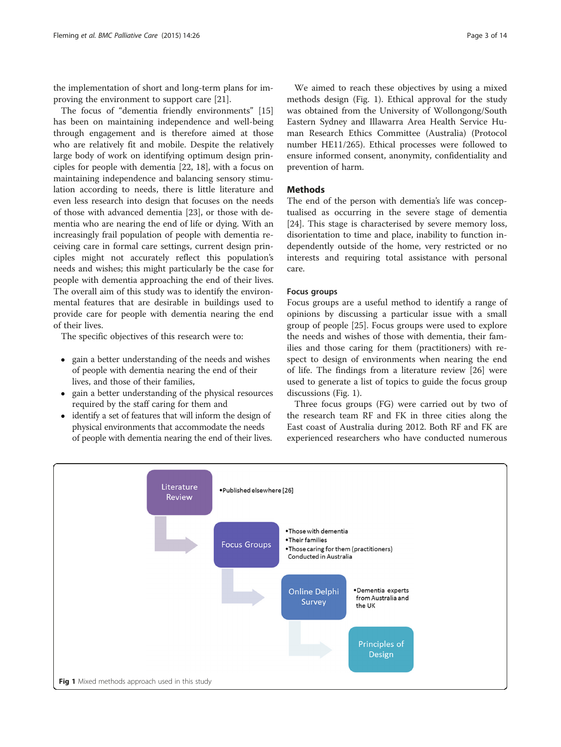the implementation of short and long-term plans for improving the environment to support care [\[21](#page-12-0)].

The focus of "dementia friendly environments" [[15](#page-12-0)] has been on maintaining independence and well-being through engagement and is therefore aimed at those who are relatively fit and mobile. Despite the relatively large body of work on identifying optimum design principles for people with dementia [\[22, 18](#page-12-0)], with a focus on maintaining independence and balancing sensory stimulation according to needs, there is little literature and even less research into design that focuses on the needs of those with advanced dementia [\[23\]](#page-12-0), or those with dementia who are nearing the end of life or dying. With an increasingly frail population of people with dementia receiving care in formal care settings, current design principles might not accurately reflect this population's needs and wishes; this might particularly be the case for people with dementia approaching the end of their lives. The overall aim of this study was to identify the environmental features that are desirable in buildings used to provide care for people with dementia nearing the end of their lives.

The specific objectives of this research were to:

- gain a better understanding of the needs and wishes of people with dementia nearing the end of their lives, and those of their families,
- gain a better understanding of the physical resources required by the staff caring for them and
- identify a set of features that will inform the design of physical environments that accommodate the needs of people with dementia nearing the end of their lives.

We aimed to reach these objectives by using a mixed methods design (Fig. 1). Ethical approval for the study was obtained from the University of Wollongong/South Eastern Sydney and Illawarra Area Health Service Human Research Ethics Committee (Australia) (Protocol number HE11/265). Ethical processes were followed to ensure informed consent, anonymity, confidentiality and prevention of harm.

### Methods

The end of the person with dementia's life was conceptualised as occurring in the severe stage of dementia [[24\]](#page-13-0). This stage is characterised by severe memory loss, disorientation to time and place, inability to function independently outside of the home, very restricted or no interests and requiring total assistance with personal care.

### Focus groups

Focus groups are a useful method to identify a range of opinions by discussing a particular issue with a small group of people [\[25](#page-13-0)]. Focus groups were used to explore the needs and wishes of those with dementia, their families and those caring for them (practitioners) with respect to design of environments when nearing the end of life. The findings from a literature review [[26\]](#page-13-0) were used to generate a list of topics to guide the focus group discussions (Fig. 1).

Three focus groups (FG) were carried out by two of the research team RF and FK in three cities along the East coast of Australia during 2012. Both RF and FK are experienced researchers who have conducted numerous

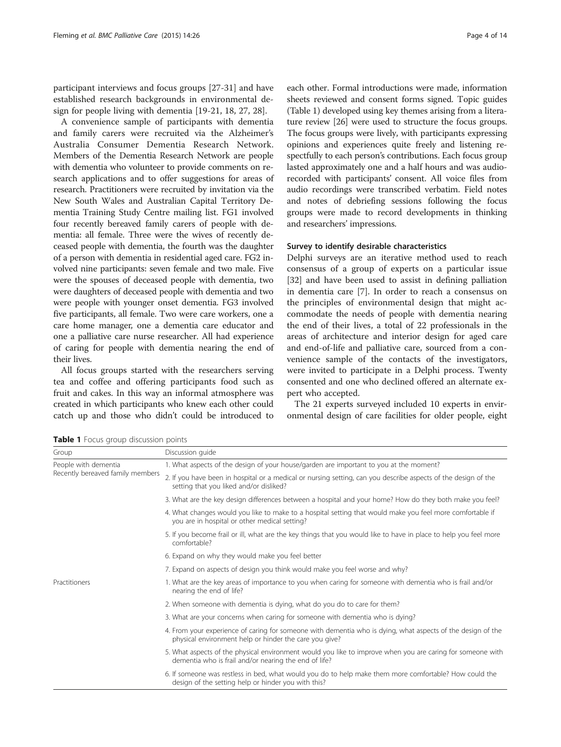<span id="page-3-0"></span>participant interviews and focus groups [[27-31\]](#page-13-0) and have established research backgrounds in environmental design for people living with dementia [\[19](#page-12-0)-[21, 18,](#page-12-0) [27](#page-13-0), [28](#page-13-0)].

A convenience sample of participants with dementia and family carers were recruited via the Alzheimer's Australia Consumer Dementia Research Network. Members of the Dementia Research Network are people with dementia who volunteer to provide comments on research applications and to offer suggestions for areas of research. Practitioners were recruited by invitation via the New South Wales and Australian Capital Territory Dementia Training Study Centre mailing list. FG1 involved four recently bereaved family carers of people with dementia: all female. Three were the wives of recently deceased people with dementia, the fourth was the daughter of a person with dementia in residential aged care. FG2 involved nine participants: seven female and two male. Five were the spouses of deceased people with dementia, two were daughters of deceased people with dementia and two were people with younger onset dementia. FG3 involved five participants, all female. Two were care workers, one a care home manager, one a dementia care educator and one a palliative care nurse researcher. All had experience of caring for people with dementia nearing the end of their lives.

All focus groups started with the researchers serving tea and coffee and offering participants food such as fruit and cakes. In this way an informal atmosphere was created in which participants who knew each other could catch up and those who didn't could be introduced to

each other. Formal introductions were made, information sheets reviewed and consent forms signed. Topic guides (Table 1) developed using key themes arising from a literature review [[26\]](#page-13-0) were used to structure the focus groups. The focus groups were lively, with participants expressing opinions and experiences quite freely and listening respectfully to each person's contributions. Each focus group lasted approximately one and a half hours and was audiorecorded with participants' consent. All voice files from audio recordings were transcribed verbatim. Field notes and notes of debriefing sessions following the focus groups were made to record developments in thinking and researchers' impressions.

### Survey to identify desirable characteristics

Delphi surveys are an iterative method used to reach consensus of a group of experts on a particular issue [[32\]](#page-13-0) and have been used to assist in defining palliation in dementia care [[7](#page-12-0)]. In order to reach a consensus on the principles of environmental design that might accommodate the needs of people with dementia nearing the end of their lives, a total of 22 professionals in the areas of architecture and interior design for aged care and end-of-life and palliative care, sourced from a convenience sample of the contacts of the investigators, were invited to participate in a Delphi process. Twenty consented and one who declined offered an alternate expert who accepted.

The 21 experts surveyed included 10 experts in environmental design of care facilities for older people, eight

Table 1 Focus group discussion points

| Group                                                    | Discussion quide                                                                                                                                                      |  |  |
|----------------------------------------------------------|-----------------------------------------------------------------------------------------------------------------------------------------------------------------------|--|--|
| People with dementia<br>Recently bereaved family members | 1. What aspects of the design of your house/garden are important to you at the moment?                                                                                |  |  |
|                                                          | 2. If you have been in hospital or a medical or nursing setting, can you describe aspects of the design of the<br>setting that you liked and/or disliked?             |  |  |
|                                                          | 3. What are the key design differences between a hospital and your home? How do they both make you feel?                                                              |  |  |
|                                                          | 4. What changes would you like to make to a hospital setting that would make you feel more comfortable if<br>you are in hospital or other medical setting?            |  |  |
|                                                          | 5. If you become frail or ill, what are the key things that you would like to have in place to help you feel more<br>comfortable?                                     |  |  |
|                                                          | 6. Expand on why they would make you feel better                                                                                                                      |  |  |
|                                                          | 7. Expand on aspects of design you think would make you feel worse and why?                                                                                           |  |  |
| Practitioners                                            | 1. What are the key areas of importance to you when caring for someone with dementia who is frail and/or<br>nearing the end of life?                                  |  |  |
|                                                          | 2. When someone with dementia is dying, what do you do to care for them?                                                                                              |  |  |
|                                                          | 3. What are your concerns when caring for someone with dementia who is dying?                                                                                         |  |  |
|                                                          | 4. From your experience of caring for someone with dementia who is dying, what aspects of the design of the<br>physical environment help or hinder the care you give? |  |  |
|                                                          | 5. What aspects of the physical environment would you like to improve when you are caring for someone with<br>dementia who is frail and/or nearing the end of life?   |  |  |
|                                                          | 6. If someone was restless in bed, what would you do to help make them more comfortable? How could the<br>design of the setting help or hinder you with this?         |  |  |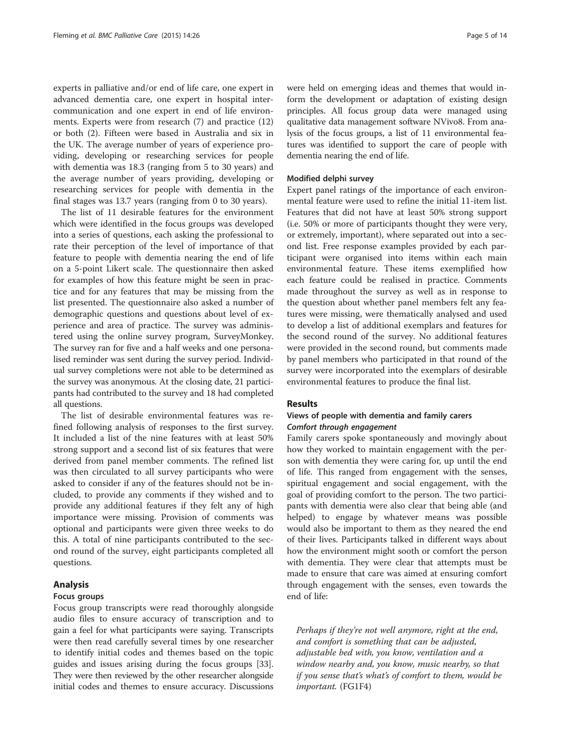experts in palliative and/or end of life care, one expert in advanced dementia care, one expert in hospital intercommunication and one expert in end of life environments. Experts were from research (7) and practice (12) or both (2). Fifteen were based in Australia and six in the UK. The average number of years of experience providing, developing or researching services for people with dementia was 18.3 (ranging from 5 to 30 years) and the average number of years providing, developing or researching services for people with dementia in the final stages was 13.7 years (ranging from 0 to 30 years).

The list of 11 desirable features for the environment which were identified in the focus groups was developed into a series of questions, each asking the professional to rate their perception of the level of importance of that feature to people with dementia nearing the end of life on a 5-point Likert scale. The questionnaire then asked for examples of how this feature might be seen in practice and for any features that may be missing from the list presented. The questionnaire also asked a number of demographic questions and questions about level of experience and area of practice. The survey was administered using the online survey program, SurveyMonkey. The survey ran for five and a half weeks and one personalised reminder was sent during the survey period. Individual survey completions were not able to be determined as the survey was anonymous. At the closing date, 21 participants had contributed to the survey and 18 had completed all questions.

The list of desirable environmental features was refined following analysis of responses to the first survey. It included a list of the nine features with at least 50% strong support and a second list of six features that were derived from panel member comments. The refined list was then circulated to all survey participants who were asked to consider if any of the features should not be included, to provide any comments if they wished and to provide any additional features if they felt any of high importance were missing. Provision of comments was optional and participants were given three weeks to do this. A total of nine participants contributed to the second round of the survey, eight participants completed all questions.

### Analysis

### Focus groups

Focus group transcripts were read thoroughly alongside audio files to ensure accuracy of transcription and to gain a feel for what participants were saying. Transcripts were then read carefully several times by one researcher to identify initial codes and themes based on the topic guides and issues arising during the focus groups [\[33](#page-13-0)]. They were then reviewed by the other researcher alongside initial codes and themes to ensure accuracy. Discussions were held on emerging ideas and themes that would inform the development or adaptation of existing design principles. All focus group data were managed using qualitative data management software NVivo8. From analysis of the focus groups, a list of 11 environmental features was identified to support the care of people with dementia nearing the end of life.

### Modified delphi survey

Expert panel ratings of the importance of each environmental feature were used to refine the initial 11-item list. Features that did not have at least 50% strong support (i.e. 50% or more of participants thought they were very, or extremely, important), where separated out into a second list. Free response examples provided by each participant were organised into items within each main environmental feature. These items exemplified how each feature could be realised in practice. Comments made throughout the survey as well as in response to the question about whether panel members felt any features were missing, were thematically analysed and used to develop a list of additional exemplars and features for the second round of the survey. No additional features were provided in the second round, but comments made by panel members who participated in that round of the survey were incorporated into the exemplars of desirable environmental features to produce the final list.

### Results

### Views of people with dementia and family carers Comfort through engagement

Family carers spoke spontaneously and movingly about how they worked to maintain engagement with the person with dementia they were caring for, up until the end of life. This ranged from engagement with the senses, spiritual engagement and social engagement, with the goal of providing comfort to the person. The two participants with dementia were also clear that being able (and helped) to engage by whatever means was possible would also be important to them as they neared the end of their lives. Participants talked in different ways about how the environment might sooth or comfort the person with dementia. They were clear that attempts must be made to ensure that care was aimed at ensuring comfort through engagement with the senses, even towards the end of life:

Perhaps if they're not well anymore, right at the end, and comfort is something that can be adjusted, adjustable bed with, you know, ventilation and a window nearby and, you know, music nearby, so that if you sense that's what's of comfort to them, would be important. (FG1F4)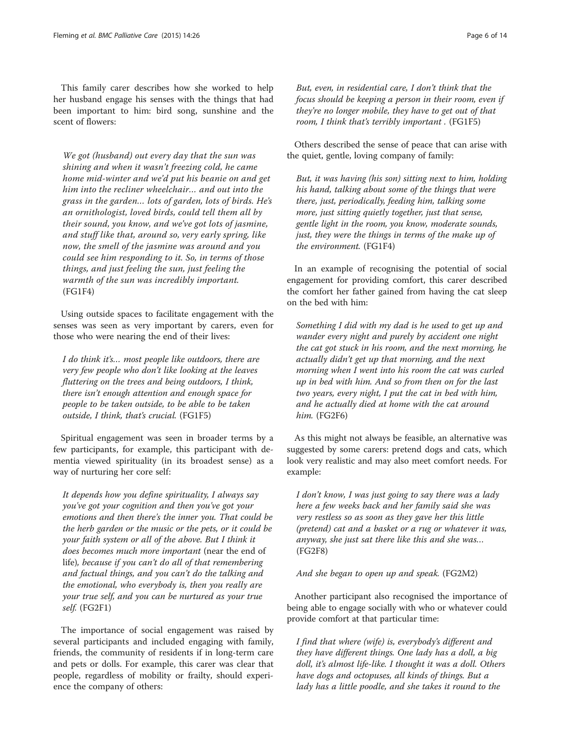This family carer describes how she worked to help her husband engage his senses with the things that had been important to him: bird song, sunshine and the scent of flowers:

We got (husband) out every day that the sun was shining and when it wasn't freezing cold, he came home mid-winter and we'd put his beanie on and get him into the recliner wheelchair… and out into the grass in the garden… lots of garden, lots of birds. He's an ornithologist, loved birds, could tell them all by their sound, you know, and we've got lots of jasmine, and stuff like that, around so, very early spring, like now, the smell of the jasmine was around and you could see him responding to it. So, in terms of those things, and just feeling the sun, just feeling the warmth of the sun was incredibly important. (FG1F4)

Using outside spaces to facilitate engagement with the senses was seen as very important by carers, even for those who were nearing the end of their lives:

I do think it's… most people like outdoors, there are very few people who don't like looking at the leaves fluttering on the trees and being outdoors, I think, there isn't enough attention and enough space for people to be taken outside, to be able to be taken outside, I think, that's crucial. (FG1F5)

Spiritual engagement was seen in broader terms by a few participants, for example, this participant with dementia viewed spirituality (in its broadest sense) as a way of nurturing her core self:

It depends how you define spirituality, I always say you've got your cognition and then you've got your emotions and then there's the inner you. That could be the herb garden or the music or the pets, or it could be your faith system or all of the above. But I think it does becomes much more important (near the end of life), because if you can't do all of that remembering and factual things, and you can't do the talking and the emotional, who everybody is, then you really are your true self, and you can be nurtured as your true self. (FG2F1)

The importance of social engagement was raised by several participants and included engaging with family, friends, the community of residents if in long-term care and pets or dolls. For example, this carer was clear that people, regardless of mobility or frailty, should experience the company of others:

But, even, in residential care, I don't think that the focus should be keeping a person in their room, even if they're no longer mobile, they have to get out of that room, I think that's terribly important . (FG1F5)

Others described the sense of peace that can arise with the quiet, gentle, loving company of family:

But, it was having (his son) sitting next to him, holding his hand, talking about some of the things that were there, just, periodically, feeding him, talking some more, just sitting quietly together, just that sense, gentle light in the room, you know, moderate sounds, just, they were the things in terms of the make up of the environment. (FG1F4)

In an example of recognising the potential of social engagement for providing comfort, this carer described the comfort her father gained from having the cat sleep on the bed with him:

Something I did with my dad is he used to get up and wander every night and purely by accident one night the cat got stuck in his room, and the next morning, he actually didn't get up that morning, and the next morning when I went into his room the cat was curled up in bed with him. And so from then on for the last two years, every night, I put the cat in bed with him, and he actually died at home with the cat around him. (FG2F6)

As this might not always be feasible, an alternative was suggested by some carers: pretend dogs and cats, which look very realistic and may also meet comfort needs. For example:

I don't know, I was just going to say there was a lady here a few weeks back and her family said she was very restless so as soon as they gave her this little (pretend) cat and a basket or a rug or whatever it was, anyway, she just sat there like this and she was… (FG2F8)

And she began to open up and speak. (FG2M2)

Another participant also recognised the importance of being able to engage socially with who or whatever could provide comfort at that particular time:

I find that where (wife) is, everybody's different and they have different things. One lady has a doll, a big doll, it's almost life-like. I thought it was a doll. Others have dogs and octopuses, all kinds of things. But a lady has a little poodle, and she takes it round to the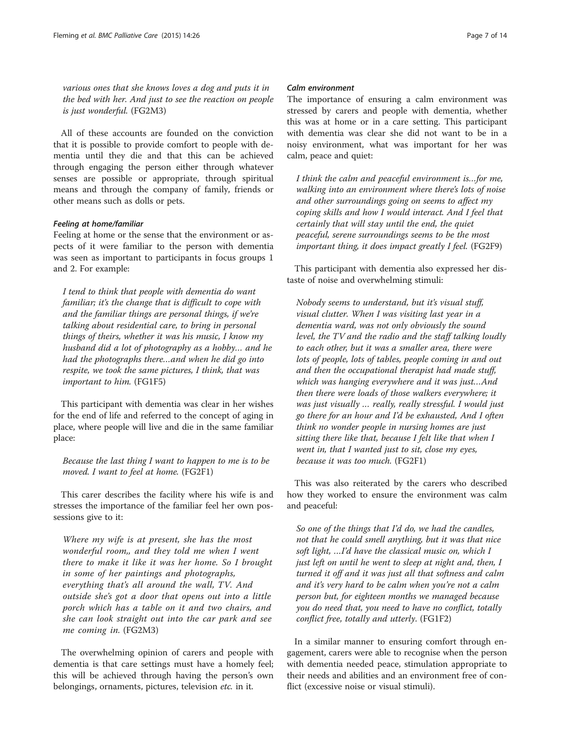various ones that she knows loves a dog and puts it in the bed with her. And just to see the reaction on people is just wonderful. (FG2M3)

All of these accounts are founded on the conviction that it is possible to provide comfort to people with dementia until they die and that this can be achieved through engaging the person either through whatever senses are possible or appropriate, through spiritual means and through the company of family, friends or other means such as dolls or pets.

### Feeling at home/familiar

Feeling at home or the sense that the environment or aspects of it were familiar to the person with dementia was seen as important to participants in focus groups 1 and 2. For example:

I tend to think that people with dementia do want familiar; it's the change that is difficult to cope with and the familiar things are personal things, if we're talking about residential care, to bring in personal things of theirs, whether it was his music, I know my husband did a lot of photography as a hobby… and he had the photographs there…and when he did go into respite, we took the same pictures, I think, that was important to him. (FG1F5)

This participant with dementia was clear in her wishes for the end of life and referred to the concept of aging in place, where people will live and die in the same familiar place:

Because the last thing I want to happen to me is to be moved. I want to feel at home. (FG2F1)

This carer describes the facility where his wife is and stresses the importance of the familiar feel her own possessions give to it:

Where my wife is at present, she has the most wonderful room,, and they told me when I went there to make it like it was her home. So I brought in some of her paintings and photographs, everything that's all around the wall, TV. And outside she's got a door that opens out into a little porch which has a table on it and two chairs, and she can look straight out into the car park and see me coming in. (FG2M3)

The overwhelming opinion of carers and people with dementia is that care settings must have a homely feel; this will be achieved through having the person's own belongings, ornaments, pictures, television etc. in it.

### Calm environment

The importance of ensuring a calm environment was stressed by carers and people with dementia, whether this was at home or in a care setting. This participant with dementia was clear she did not want to be in a noisy environment, what was important for her was calm, peace and quiet:

I think the calm and peaceful environment is…for me, walking into an environment where there's lots of noise and other surroundings going on seems to affect my coping skills and how I would interact. And I feel that certainly that will stay until the end, the quiet peaceful, serene surroundings seems to be the most important thing, it does impact greatly I feel. (FG2F9)

This participant with dementia also expressed her distaste of noise and overwhelming stimuli:

Nobody seems to understand, but it's visual stuff, visual clutter. When I was visiting last year in a dementia ward, was not only obviously the sound level, the TV and the radio and the staff talking loudly to each other, but it was a smaller area, there were lots of people, lots of tables, people coming in and out and then the occupational therapist had made stuff, which was hanging everywhere and it was just…And then there were loads of those walkers everywhere; it was just visually … really, really stressful. I would just go there for an hour and I'd be exhausted, And I often think no wonder people in nursing homes are just sitting there like that, because I felt like that when I went in, that I wanted just to sit, close my eyes, because it was too much. (FG2F1)

This was also reiterated by the carers who described how they worked to ensure the environment was calm and peaceful:

So one of the things that I'd do, we had the candles, not that he could smell anything, but it was that nice soft light, …I'd have the classical music on, which I just left on until he went to sleep at night and, then, I turned it off and it was just all that softness and calm and it's very hard to be calm when you're not a calm person but, for eighteen months we managed because you do need that, you need to have no conflict, totally conflict free, totally and utterly. (FG1F2)

In a similar manner to ensuring comfort through engagement, carers were able to recognise when the person with dementia needed peace, stimulation appropriate to their needs and abilities and an environment free of conflict (excessive noise or visual stimuli).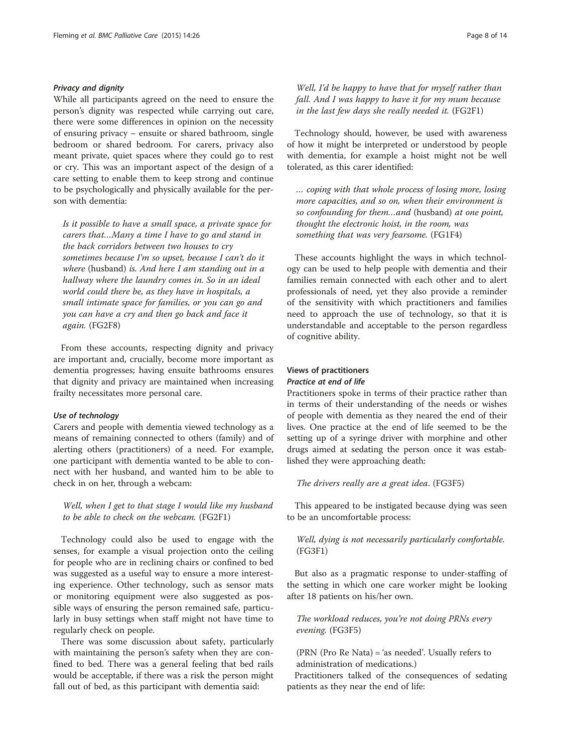### Privacy and dignity

While all participants agreed on the need to ensure the person's dignity was respected while carrying out care, there were some differences in opinion on the necessity of ensuring privacy – ensuite or shared bathroom, single bedroom or shared bedroom. For carers, privacy also meant private, quiet spaces where they could go to rest or cry. This was an important aspect of the design of a care setting to enable them to keep strong and continue to be psychologically and physically available for the person with dementia:

Is it possible to have a small space, a private space for carers that…Many a time I have to go and stand in the back corridors between two houses to cry sometimes because I'm so upset, because I can't do it where (husband) is. And here I am standing out in a hallway where the laundry comes in. So in an ideal world could there be, as they have in hospitals, a small intimate space for families, or you can go and you can have a cry and then go back and face it again. (FG2F8)

From these accounts, respecting dignity and privacy are important and, crucially, become more important as dementia progresses; having ensuite bathrooms ensures that dignity and privacy are maintained when increasing frailty necessitates more personal care.

### Use of technology

Carers and people with dementia viewed technology as a means of remaining connected to others (family) and of alerting others (practitioners) of a need. For example, one participant with dementia wanted to be able to connect with her husband, and wanted him to be able to check in on her, through a webcam:

Well, when I get to that stage I would like my husband to be able to check on the webcam. (FG2F1)

Technology could also be used to engage with the senses, for example a visual projection onto the ceiling for people who are in reclining chairs or confined to bed was suggested as a useful way to ensure a more interesting experience. Other technology, such as sensor mats or monitoring equipment were also suggested as possible ways of ensuring the person remained safe, particularly in busy settings when staff might not have time to regularly check on people.

There was some discussion about safety, particularly with maintaining the person's safety when they are confined to bed. There was a general feeling that bed rails would be acceptable, if there was a risk the person might fall out of bed, as this participant with dementia said:

Well, I'd be happy to have that for myself rather than fall. And I was happy to have it for my mum because in the last few days she really needed it. (FG2F1)

Technology should, however, be used with awareness of how it might be interpreted or understood by people with dementia, for example a hoist might not be well tolerated, as this carer identified:

… coping with that whole process of losing more, losing more capacities, and so on, when their environment is so confounding for them…and (husband) at one point, thought the electronic hoist, in the room, was something that was very fearsome. (FG1F4)

These accounts highlight the ways in which technology can be used to help people with dementia and their families remain connected with each other and to alert professionals of need, yet they also provide a reminder of the sensitivity with which practitioners and families need to approach the use of technology, so that it is understandable and acceptable to the person regardless of cognitive ability.

### Views of practitioners Practice at end of life

Practitioners spoke in terms of their practice rather than in terms of their understanding of the needs or wishes of people with dementia as they neared the end of their lives. One practice at the end of life seemed to be the setting up of a syringe driver with morphine and other drugs aimed at sedating the person once it was established they were approaching death:

The drivers really are a great idea. (FG3F5)

This appeared to be instigated because dying was seen to be an uncomfortable process:

Well, dying is not necessarily particularly comfortable. (FG3F1)

But also as a pragmatic response to under-staffing of the setting in which one care worker might be looking after 18 patients on his/her own.

The workload reduces, you're not doing PRNs every evening. (FG3F5)

(PRN (Pro Re Nata) = 'as needed'. Usually refers to administration of medications.)

Practitioners talked of the consequences of sedating patients as they near the end of life: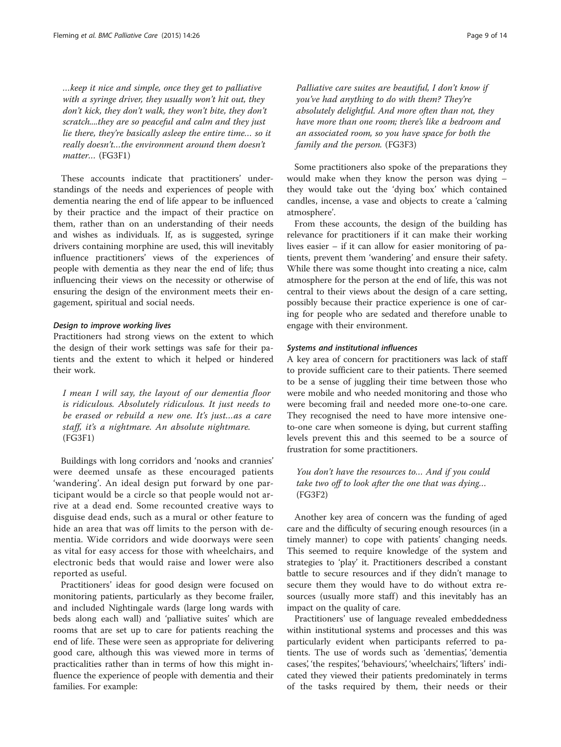…keep it nice and simple, once they get to palliative with a syringe driver, they usually won't hit out, they don't kick, they don't walk, they won't bite, they don't scratch....they are so peaceful and calm and they just lie there, they're basically asleep the entire time… so it really doesn't…the environment around them doesn't matter… (FG3F1)

These accounts indicate that practitioners' understandings of the needs and experiences of people with dementia nearing the end of life appear to be influenced by their practice and the impact of their practice on them, rather than on an understanding of their needs and wishes as individuals. If, as is suggested, syringe drivers containing morphine are used, this will inevitably influence practitioners' views of the experiences of people with dementia as they near the end of life; thus influencing their views on the necessity or otherwise of ensuring the design of the environment meets their engagement, spiritual and social needs.

### Design to improve working lives

Practitioners had strong views on the extent to which the design of their work settings was safe for their patients and the extent to which it helped or hindered their work.

I mean I will say, the layout of our dementia floor is ridiculous. Absolutely ridiculous. It just needs to be erased or rebuild a new one. It's just…as a care staff, it's a nightmare. An absolute nightmare. (FG3F1)

Buildings with long corridors and 'nooks and crannies' were deemed unsafe as these encouraged patients 'wandering'. An ideal design put forward by one participant would be a circle so that people would not arrive at a dead end. Some recounted creative ways to disguise dead ends, such as a mural or other feature to hide an area that was off limits to the person with dementia. Wide corridors and wide doorways were seen as vital for easy access for those with wheelchairs, and electronic beds that would raise and lower were also reported as useful.

Practitioners' ideas for good design were focused on monitoring patients, particularly as they become frailer, and included Nightingale wards (large long wards with beds along each wall) and 'palliative suites' which are rooms that are set up to care for patients reaching the end of life. These were seen as appropriate for delivering good care, although this was viewed more in terms of practicalities rather than in terms of how this might influence the experience of people with dementia and their families. For example:

Palliative care suites are beautiful, I don't know if you've had anything to do with them? They're absolutely delightful. And more often than not, they have more than one room; there's like a bedroom and an associated room, so you have space for both the family and the person. (FG3F3)

Some practitioners also spoke of the preparations they would make when they know the person was dying – they would take out the 'dying box' which contained candles, incense, a vase and objects to create a 'calming atmosphere'.

From these accounts, the design of the building has relevance for practitioners if it can make their working lives easier – if it can allow for easier monitoring of patients, prevent them 'wandering' and ensure their safety. While there was some thought into creating a nice, calm atmosphere for the person at the end of life, this was not central to their views about the design of a care setting, possibly because their practice experience is one of caring for people who are sedated and therefore unable to engage with their environment.

### Systems and institutional influences

A key area of concern for practitioners was lack of staff to provide sufficient care to their patients. There seemed to be a sense of juggling their time between those who were mobile and who needed monitoring and those who were becoming frail and needed more one-to-one care. They recognised the need to have more intensive oneto-one care when someone is dying, but current staffing levels prevent this and this seemed to be a source of frustration for some practitioners.

You don't have the resources to… And if you could take two off to look after the one that was dying… (FG3F2)

Another key area of concern was the funding of aged care and the difficulty of securing enough resources (in a timely manner) to cope with patients' changing needs. This seemed to require knowledge of the system and strategies to 'play' it. Practitioners described a constant battle to secure resources and if they didn't manage to secure them they would have to do without extra resources (usually more staff) and this inevitably has an impact on the quality of care.

Practitioners' use of language revealed embeddedness within institutional systems and processes and this was particularly evident when participants referred to patients. The use of words such as 'dementias', 'dementia cases', 'the respites', 'behaviours', 'wheelchairs', 'lifters' indicated they viewed their patients predominately in terms of the tasks required by them, their needs or their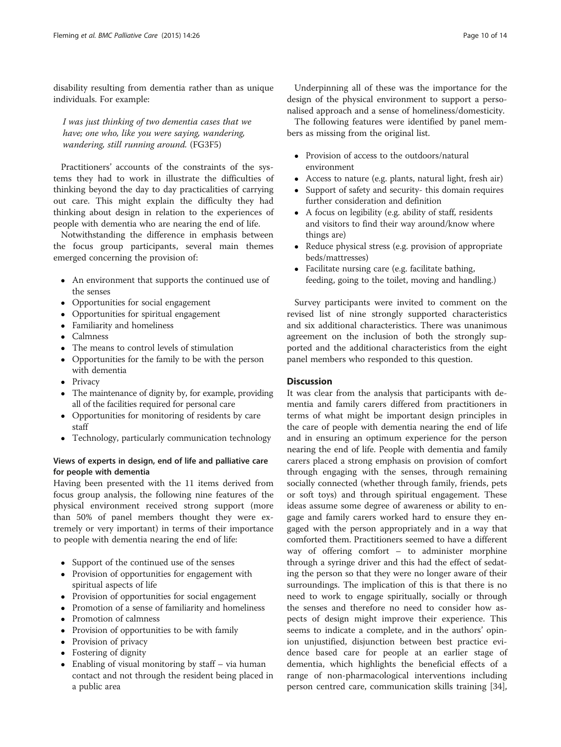disability resulting from dementia rather than as unique individuals. For example:

I was just thinking of two dementia cases that we have; one who, like you were saying, wandering, wandering, still running around. (FG3F5)

Practitioners' accounts of the constraints of the systems they had to work in illustrate the difficulties of thinking beyond the day to day practicalities of carrying out care. This might explain the difficulty they had thinking about design in relation to the experiences of people with dementia who are nearing the end of life.

Notwithstanding the difference in emphasis between the focus group participants, several main themes emerged concerning the provision of:

- An environment that supports the continued use of the senses
- Opportunities for social engagement
- Opportunities for spiritual engagement
- Familiarity and homeliness
- Calmness
- The means to control levels of stimulation
- Opportunities for the family to be with the person with dementia
- Privacy
- The maintenance of dignity by, for example, providing all of the facilities required for personal care
- Opportunities for monitoring of residents by care staff
- Technology, particularly communication technology

### Views of experts in design, end of life and palliative care for people with dementia

Having been presented with the 11 items derived from focus group analysis, the following nine features of the physical environment received strong support (more than 50% of panel members thought they were extremely or very important) in terms of their importance to people with dementia nearing the end of life:

- Support of the continued use of the senses
- Provision of opportunities for engagement with spiritual aspects of life
- Provision of opportunities for social engagement
- Promotion of a sense of familiarity and homeliness
- Promotion of calmness
- Provision of opportunities to be with family
- Provision of privacy
- Fostering of dignity
- Enabling of visual monitoring by staff via human contact and not through the resident being placed in a public area

Underpinning all of these was the importance for the design of the physical environment to support a personalised approach and a sense of homeliness/domesticity.

The following features were identified by panel members as missing from the original list.

- Provision of access to the outdoors/natural environment
- Access to nature (e.g. plants, natural light, fresh air)
- Support of safety and security- this domain requires further consideration and definition
- A focus on legibility (e.g. ability of staff, residents and visitors to find their way around/know where things are)
- Reduce physical stress (e.g. provision of appropriate beds/mattresses)
- Facilitate nursing care (e.g. facilitate bathing, feeding, going to the toilet, moving and handling.)

Survey participants were invited to comment on the revised list of nine strongly supported characteristics and six additional characteristics. There was unanimous agreement on the inclusion of both the strongly supported and the additional characteristics from the eight panel members who responded to this question.

### **Discussion**

It was clear from the analysis that participants with dementia and family carers differed from practitioners in terms of what might be important design principles in the care of people with dementia nearing the end of life and in ensuring an optimum experience for the person nearing the end of life. People with dementia and family carers placed a strong emphasis on provision of comfort through engaging with the senses, through remaining socially connected (whether through family, friends, pets or soft toys) and through spiritual engagement. These ideas assume some degree of awareness or ability to engage and family carers worked hard to ensure they engaged with the person appropriately and in a way that comforted them. Practitioners seemed to have a different way of offering comfort – to administer morphine through a syringe driver and this had the effect of sedating the person so that they were no longer aware of their surroundings. The implication of this is that there is no need to work to engage spiritually, socially or through the senses and therefore no need to consider how aspects of design might improve their experience. This seems to indicate a complete, and in the authors' opinion unjustified, disjunction between best practice evidence based care for people at an earlier stage of dementia, which highlights the beneficial effects of a range of non-pharmacological interventions including person centred care, communication skills training [\[34](#page-13-0)],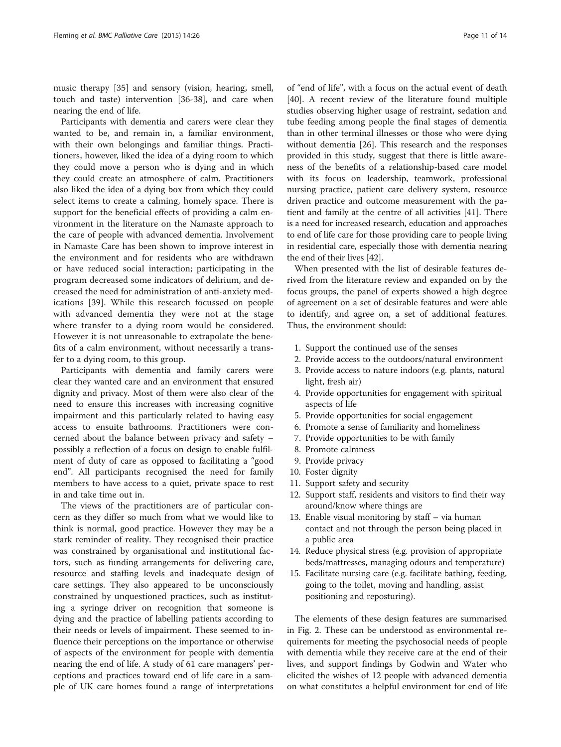music therapy [[35\]](#page-13-0) and sensory (vision, hearing, smell, touch and taste) intervention [\[36-38](#page-13-0)], and care when nearing the end of life.

Participants with dementia and carers were clear they wanted to be, and remain in, a familiar environment, with their own belongings and familiar things. Practitioners, however, liked the idea of a dying room to which they could move a person who is dying and in which they could create an atmosphere of calm. Practitioners also liked the idea of a dying box from which they could select items to create a calming, homely space. There is support for the beneficial effects of providing a calm environment in the literature on the Namaste approach to the care of people with advanced dementia. Involvement in Namaste Care has been shown to improve interest in the environment and for residents who are withdrawn or have reduced social interaction; participating in the program decreased some indicators of delirium, and decreased the need for administration of anti-anxiety medications [[39\]](#page-13-0). While this research focussed on people with advanced dementia they were not at the stage where transfer to a dying room would be considered. However it is not unreasonable to extrapolate the benefits of a calm environment, without necessarily a transfer to a dying room, to this group.

Participants with dementia and family carers were clear they wanted care and an environment that ensured dignity and privacy. Most of them were also clear of the need to ensure this increases with increasing cognitive impairment and this particularly related to having easy access to ensuite bathrooms. Practitioners were concerned about the balance between privacy and safety – possibly a reflection of a focus on design to enable fulfilment of duty of care as opposed to facilitating a "good end". All participants recognised the need for family members to have access to a quiet, private space to rest in and take time out in.

The views of the practitioners are of particular concern as they differ so much from what we would like to think is normal, good practice. However they may be a stark reminder of reality. They recognised their practice was constrained by organisational and institutional factors, such as funding arrangements for delivering care, resource and staffing levels and inadequate design of care settings. They also appeared to be unconsciously constrained by unquestioned practices, such as instituting a syringe driver on recognition that someone is dying and the practice of labelling patients according to their needs or levels of impairment. These seemed to influence their perceptions on the importance or otherwise of aspects of the environment for people with dementia nearing the end of life. A study of 61 care managers' perceptions and practices toward end of life care in a sample of UK care homes found a range of interpretations

of "end of life", with a focus on the actual event of death [[40\]](#page-13-0). A recent review of the literature found multiple studies observing higher usage of restraint, sedation and tube feeding among people the final stages of dementia than in other terminal illnesses or those who were dying without dementia [[26\]](#page-13-0). This research and the responses provided in this study, suggest that there is little awareness of the benefits of a relationship-based care model with its focus on leadership, teamwork, professional nursing practice, patient care delivery system, resource driven practice and outcome measurement with the patient and family at the centre of all activities [[41\]](#page-13-0). There is a need for increased research, education and approaches to end of life care for those providing care to people living in residential care, especially those with dementia nearing the end of their lives [\[42\]](#page-13-0).

When presented with the list of desirable features derived from the literature review and expanded on by the focus groups, the panel of experts showed a high degree of agreement on a set of desirable features and were able to identify, and agree on, a set of additional features. Thus, the environment should:

- 1. Support the continued use of the senses
- 2. Provide access to the outdoors/natural environment
- 3. Provide access to nature indoors (e.g. plants, natural light, fresh air)
- 4. Provide opportunities for engagement with spiritual aspects of life
- 5. Provide opportunities for social engagement
- 6. Promote a sense of familiarity and homeliness
- 7. Provide opportunities to be with family
- 8. Promote calmness
- 9. Provide privacy
- 10. Foster dignity
- 11. Support safety and security
- 12. Support staff, residents and visitors to find their way around/know where things are
- 13. Enable visual monitoring by staff via human contact and not through the person being placed in a public area
- 14. Reduce physical stress (e.g. provision of appropriate beds/mattresses, managing odours and temperature)
- 15. Facilitate nursing care (e.g. facilitate bathing, feeding, going to the toilet, moving and handling, assist positioning and reposturing).

The elements of these design features are summarised in Fig. [2.](#page-11-0) These can be understood as environmental requirements for meeting the psychosocial needs of people with dementia while they receive care at the end of their lives, and support findings by Godwin and Water who elicited the wishes of 12 people with advanced dementia on what constitutes a helpful environment for end of life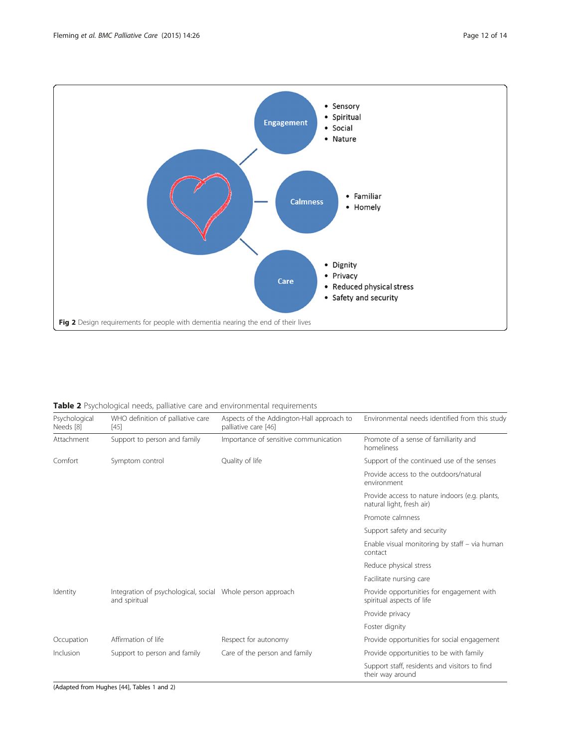<span id="page-11-0"></span>

Table 2 Psychological needs, palliative care and environmental requirements

| Psychological<br>Needs [8] | WHO definition of palliative care<br>$[45]$                                 | Aspects of the Addington-Hall approach to<br>palliative care [46] | Environmental needs identified from this study                              |
|----------------------------|-----------------------------------------------------------------------------|-------------------------------------------------------------------|-----------------------------------------------------------------------------|
| Attachment                 | Support to person and family                                                | Importance of sensitive communication                             | Promote of a sense of familiarity and<br>homeliness                         |
| Comfort                    | Symptom control                                                             | Quality of life                                                   | Support of the continued use of the senses                                  |
|                            |                                                                             |                                                                   | Provide access to the outdoors/natural<br>environment                       |
|                            |                                                                             |                                                                   | Provide access to nature indoors (e.g. plants,<br>natural light, fresh air) |
|                            |                                                                             |                                                                   | Promote calmness                                                            |
|                            |                                                                             |                                                                   | Support safety and security                                                 |
|                            |                                                                             |                                                                   | Enable visual monitoring by staff - via human<br>contact                    |
|                            |                                                                             |                                                                   | Reduce physical stress                                                      |
|                            |                                                                             |                                                                   | Facilitate nursing care                                                     |
| Identity                   | Integration of psychological, social Whole person approach<br>and spiritual |                                                                   | Provide opportunities for engagement with<br>spiritual aspects of life      |
|                            |                                                                             |                                                                   | Provide privacy                                                             |
|                            |                                                                             |                                                                   | Foster dignity                                                              |
| Occupation                 | Affirmation of life                                                         | Respect for autonomy                                              | Provide opportunities for social engagement                                 |
| Inclusion                  | Support to person and family                                                | Care of the person and family                                     | Provide opportunities to be with family                                     |
|                            |                                                                             |                                                                   | Support staff, residents and visitors to find<br>their way around           |

(Adapted from Hughes [\[44\]](#page-13-0), Tables [1](#page-3-0) and 2)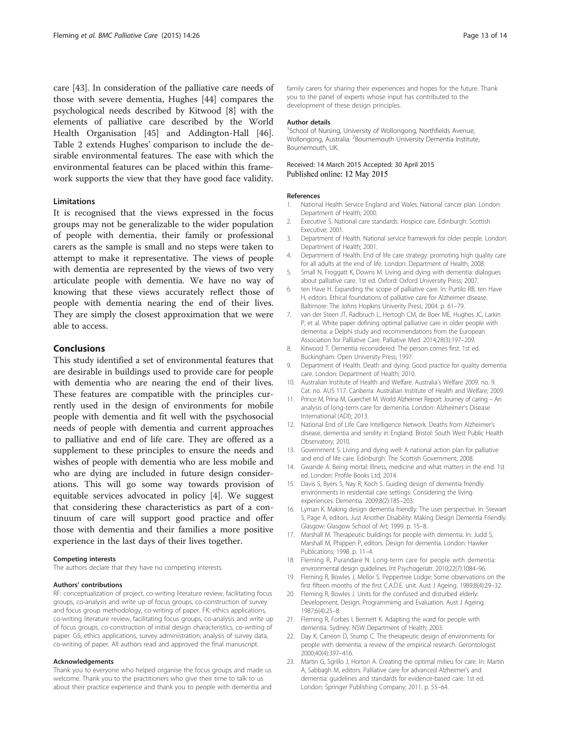<span id="page-12-0"></span>care [[43\]](#page-13-0). In consideration of the palliative care needs of those with severe dementia, Hughes [\[44\]](#page-13-0) compares the psychological needs described by Kitwood [8] with the elements of palliative care described by the World Health Organisation [\[45\]](#page-13-0) and Addington-Hall [\[46](#page-13-0)]. Table [2](#page-11-0) extends Hughes' comparison to include the desirable environmental features. The ease with which the environmental features can be placed within this framework supports the view that they have good face validity.

### Limitations

It is recognised that the views expressed in the focus groups may not be generalizable to the wider population of people with dementia, their family or professional carers as the sample is small and no steps were taken to attempt to make it representative. The views of people with dementia are represented by the views of two very articulate people with dementia. We have no way of knowing that these views accurately reflect those of people with dementia nearing the end of their lives. They are simply the closest approximation that we were able to access.

### Conclusions

This study identified a set of environmental features that are desirable in buildings used to provide care for people with dementia who are nearing the end of their lives. These features are compatible with the principles currently used in the design of environments for mobile people with dementia and fit well with the psychosocial needs of people with dementia and current approaches to palliative and end of life care. They are offered as a supplement to these principles to ensure the needs and wishes of people with dementia who are less mobile and who are dying are included in future design considerations. This will go some way towards provision of equitable services advocated in policy [4]. We suggest that considering these characteristics as part of a continuum of care will support good practice and offer those with dementia and their families a more positive experience in the last days of their lives together.

### Competing interests

The authors declare that they have no competing interests.

### Authors' contributions

RF: conceptualization of project, co-writing literature review, facilitating focus groups, co-analysis and write up of focus groups, co-construction of survey and focus group methodology, co-writing of paper. FK: ethics applications, co-writing literature review, facilitating focus groups, co-analysis and write up of focus groups, co-construction of initial design characteristics, co-writing of paper. GS; ethics applications, survey administration; analysis of survey data, co-writing of paper. All authors read and approved the final manuscript.

### Acknowledgements

Thank you to everyone who helped organise the focus groups and made us welcome. Thank you to the practitioners who give their time to talk to us about their practice experience and thank you to people with dementia and

family carers for sharing their experiences and hopes for the future. Thank you to the panel of experts whose input has contributed to the development of these design principles.

### Author details

<sup>1</sup>School of Nursing, University of Wollongong, Northfields Avenue Wollongong, Australia. <sup>2</sup> Bournemouth University Dementia Institute, Bournemouth, UK.

### Received: 14 March 2015 Accepted: 30 April 2015 Published online: 12 May 2015

### References

- 1. National Health Service England and Wales. National cancer plan. London: Department of Health; 2000.
- 2. Executive S. National care standards: Hospice care. Edinburgh: Scottish Executive; 2001.
- 3. Department of Health. National service framework for older people. London: Department of Health; 2001.
- 4. Department of Health. End of life care strategy: promoting high quality care for all adults at the end of life. London: Department of Health; 2008.
- 5. Small N, Froggatt K, Downs M. Living and dying with dementia: dialogues about palliative care. 1st ed. Oxford: Oxford University Press; 2007.
- 6. ten Have H. Expanding the scope of palliative care. In: Purtilo RB, ten Have H, editors. Ethical foundations of palliative care for Alzheimer disease. Baltimore: The Johns Hopkins Univerity Press; 2004. p. 61–79.
- 7. van der Steen JT, Radbruch L, Hertogh CM, de Boer ME, Hughes JC, Larkin P, et al. White paper defining optimal palliative care in older people with dementia: a Delphi study and recommendations from the European Association for Palliative Care. Palliative Med. 2014;28(3):197–209.
- 8. Kitwood T. Dementia reconsidered: The person comes first. 1st ed. Buckingham: Open University Press; 1997.
- 9. Department of Health. Death and dying: Good practice for quality dementia care. London: Department of Health; 2010.
- 10. Australian Institute of Health and Welfare. Australia's Welfare 2009. no. 9. Cat. no. AUS 117. Canberra: Australian Institute of Health and Welfare; 2009.
- 11. Prince M, Prina M, Guerchet M. World Alzheimer Report: Journey of caring An analysis of long-term care for dementia. London: Alzheimer's Disease International (ADI); 2013.
- 12. National End of Life Care Intelligence Network. Deaths from Alzheimer's disease, dementia and senility in England. Bristol: South West Public Health Observatory; 2010.
- 13. Government S. Living and dying well: A national action plan for palliative and end of life care. Edinburgh: The Scottish Government; 2008.
- 14. Gwande A. Being mortal: Illness, medicine and what matters in the end. 1st ed. London: Profile Books Ltd; 2014.
- 15. Davis S, Byers S, Nay R, Koch S. Guiding design of dementia friendly environments in residential care settings: Considering the living experiences. Dementia. 2009;8(2):185–203.
- 16. Lyman K. Making design dementia friendly: The user perspective. In: Stewart S, Page A, editors. Just Another Disability: Making Design Dementia Friendly. Glasgow: Glasgow School of Art; 1999. p. 15–8.
- 17. Marshall M. Therapeutic buildings for people with dementia. In: Judd S, Marshall M, Phippen P, editors. Design for dementia. London: Hawker Publications; 1998. p. 11–4.
- 18. Fleming R, Purandare N. Long-term care for people with dementia: environmental design guidelines. Int Psychogeriatr. 2010;22(7):1084–96.
- 19. Fleming R, Bowles J, Mellor S. Peppertree Lodge: Some observations on the first fifteen months of the first C.A.D.E. unit. Aust J Ageing. 1989;8(4):29–32.
- 20. Fleming R, Bowles J. Units for the confused and disturbed elderly: Development, Design, Programmimg and Evaluation. Aust J Ageing. 1987;6(4):25–8.
- 21. Fleming R, Forbes I, Bennett K. Adapting the ward for people with dementia. Sydney: NSW Department of Health; 2003.
- 22. Day K, Carreon D, Stump C. The therapeutic design of environments for people with dementia: a review of the empirical research. Gerontologist. 2000;40(4):397–416.
- 23. Martin G, Sgrillo J, Horton A. Creating the optimal milieu for care. In: Martin A, Sabbagh M, editors. Palliative care for advanced Alzheimer's and dementia: guidelines and standards for evidence-based care. 1st ed. London: Springer Publishing Company; 2011. p. 55–64.